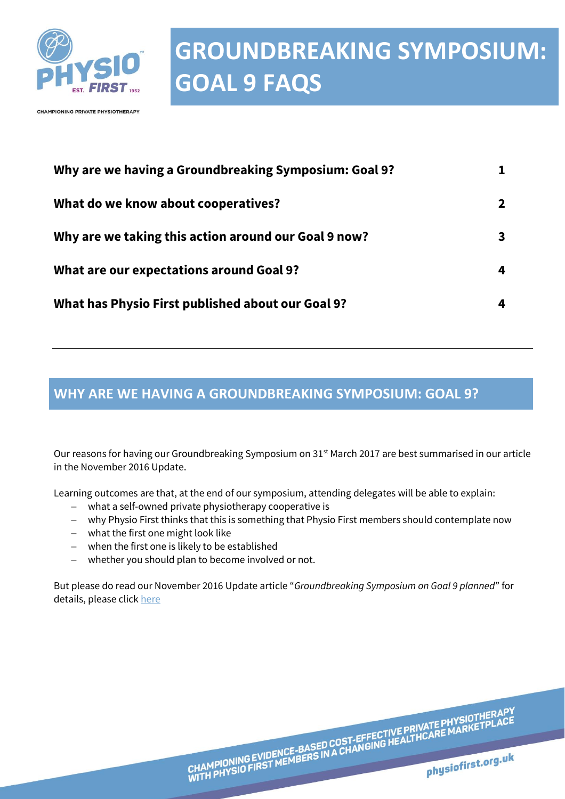

**CHAMPIONING PRIVATE PHYSIOTHERAPY** 

| Why are we having a Groundbreaking Symposium: Goal 9? |  |
|-------------------------------------------------------|--|
| What do we know about cooperatives?                   |  |
| Why are we taking this action around our Goal 9 now?  |  |
| What are our expectations around Goal 9?              |  |
| What has Physio First published about our Goal 9?     |  |

#### <span id="page-0-0"></span>**WHY ARE WE HAVING A GROUNDBREAKING SYMPOSIUM: GOAL 9?**

Our reasons for having our Groundbreaking Symposium on 31<sup>st</sup> March 2017 are best summarised in our article in the November 2016 Update.

Learning outcomes are that, at the end of our symposium, attending delegates will be able to explain:

- what a self-owned private physiotherapy cooperative is
- why Physio First thinks that this is something that Physio First members should contemplate now
- what the first one might look like
- when the first one is likely to be established
- whether you should plan to become involved or not.

But please do read our November 2016 Update article "*Groundbreaking Symposium on Goal 9 planned*" for details, please click [here](http://www.physiofirst.org.uk/resource-library/novemebr-2016-now-is-the-time-not-to-miss-out-2.html)

CHAMPIONING EVIDENCE-BASED COST-EFFECTIVE PRIVATE PHYSIOTHERAPY<br>WITH PHYSIO FIRST MEMBERS IN A CHANGING HEALTHCARE MARKETPLACE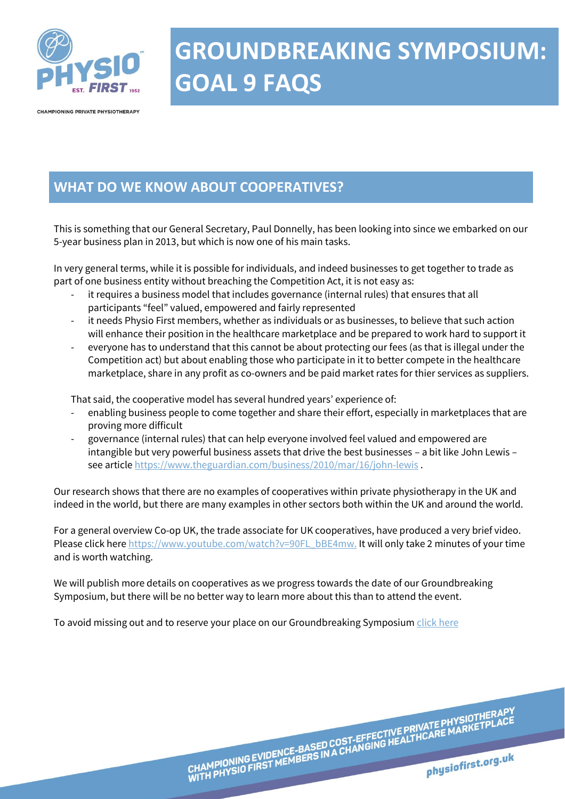

CHAMPIONING PRIVATE PHYSIOTHERAPY

### <span id="page-1-0"></span>**WHAT DO WE KNOW ABOUT COOPERATIVES?**

This is something that our General Secretary, Paul Donnelly, has been looking into since we embarked on our 5-year business plan in 2013, but which is now one of his main tasks.

In very general terms, while it is possible for individuals, and indeed businesses to get together to trade as part of one business entity without breaching the Competition Act, it is not easy as:

- it requires a business model that includes governance (internal rules) that ensures that all participants "feel" valued, empowered and fairly represented
- it needs Physio First members, whether as individuals or as businesses, to believe that such action will enhance their position in the healthcare marketplace and be prepared to work hard to support it
- everyone has to understand that this cannot be about protecting our fees (as that is illegal under the Competition act) but about enabling those who participate in it to better compete in the healthcare marketplace, share in any profit as co-owners and be paid market rates for thier services as suppliers.

That said, the cooperative model has several hundred years' experience of:

- enabling business people to come together and share their effort, especially in marketplaces that are proving more difficult
- governance (internal rules) that can help everyone involved feel valued and empowered are intangible but very powerful business assets that drive the best businesses – a bit like John Lewis – see article<https://www.theguardian.com/business/2010/mar/16/john-lewis>.

Our research shows that there are no examples of cooperatives within private physiotherapy in the UK and indeed in the world, but there are many examples in other sectors both within the UK and around the world.

For a general overview Co-op UK, the trade associate for UK cooperatives, have produced a very brief video. Please click her[e https://www.youtube.com/watch?v=90FL\\_bBE4mw.](https://www.youtube.com/watch?v=90FL_bBE4mw) It will only take 2 minutes of your time and is worth watching.

CHAMPIONING EVIDENCE-BASED COST-EFFECTIVE PRIVATE PHYSIOTHERAPY<br>WITH PHYSIO FIRST MEMBERS IN A CHANGING HEALTHCARE MARKETPLACE

physiofirst.org.uk

We will publish more details on cooperatives as we progress towards the date of our Groundbreaking Symposium, but there will be no better way to learn more about this than to attend the event.

To avoid missing out and to reserve your place on our Groundbreaking Symposium click here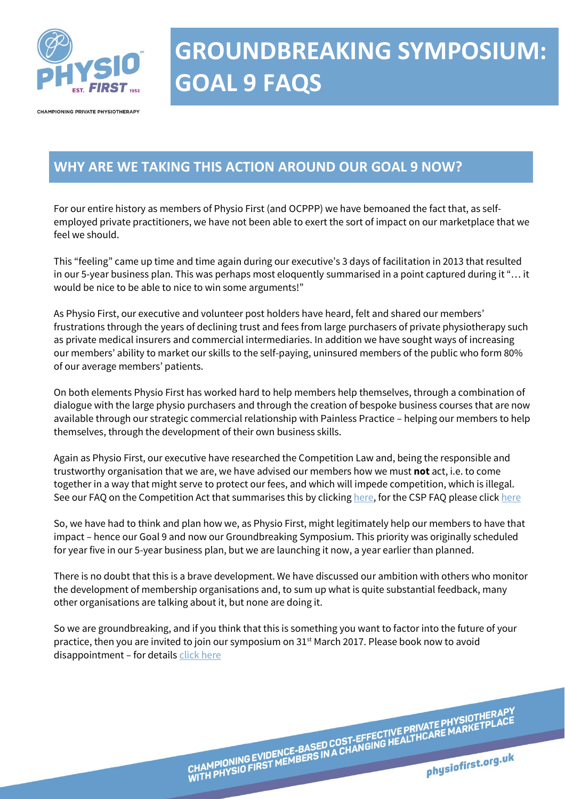

**CHAMPIONING PRIVATE PHYSIOTHERAPY** 

#### <span id="page-2-0"></span>**WHY ARE WE TAKING THIS ACTION AROUND OUR GOAL 9 NOW?**

For our entire history as members of Physio First (and OCPPP) we have bemoaned the fact that, as selfemployed private practitioners, we have not been able to exert the sort of impact on our marketplace that we feel we should.

This "feeling" came up time and time again during our executive's 3 days of facilitation in 2013 that resulted in our 5-year business plan. This was perhaps most eloquently summarised in a point captured during it "… it would be nice to be able to nice to win some arguments!"

As Physio First, our executive and volunteer post holders have heard, felt and shared our members' frustrations through the years of declining trust and fees from large purchasers of private physiotherapy such as private medical insurers and commercial intermediaries. In addition we have sought ways of increasing our members' ability to market our skills to the self-paying, uninsured members of the public who form 80% of our average members' patients.

On both elements Physio First has worked hard to help members help themselves, through a combination of dialogue with the large physio purchasers and through the creation of bespoke business courses that are now available through our strategic commercial relationship with Painless Practice – helping our members to help themselves, through the development of their own business skills.

Again as Physio First, our executive have researched the Competition Law and, being the responsible and trustworthy organisation that we are, we have advised our members how we must **not** act, i.e. to come together in a way that might serve to protect our fees, and which will impede competition, which is illegal. See our FAQ on the Competition Act that summarises this by clickin[g here,](http://www.physiofirst.org.uk/asset/F86BA8F9-5C08-45E1-8E4D3982519E1EE3/) for the CSP FAQ please click [here](http://www.csp.org.uk/documents/private-medical-insurers-intermediaries-reduction-fees)

So, we have had to think and plan how we, as Physio First, might legitimately help our members to have that impact – hence our Goal 9 and now our Groundbreaking Symposium. This priority was originally scheduled for year five in our 5-year business plan, but we are launching it now, a year earlier than planned.

There is no doubt that this is a brave development. We have discussed our ambition with others who monitor the development of membership organisations and, to sum up what is quite substantial feedback, many other organisations are talking about it, but none are doing it.

So we are groundbreaking, and if you think that this is something you want to factor into the future of your practice, then you are invited to join our symposium on 31<sup>st</sup> March 2017. Please book now to avoid disappointment – for details [click here](http://www.physiofirst.org.uk/event/rich-katz---business-lecture.html)

CHAMPIONING EVIDENCE-BASED COST-EFFECTIVE PRIVATE PHYSIOTHERAPY<br>WITH PHYSIO FIRST MEMBERS IN A CHANGING HEALTHCARE MARKETPLACE